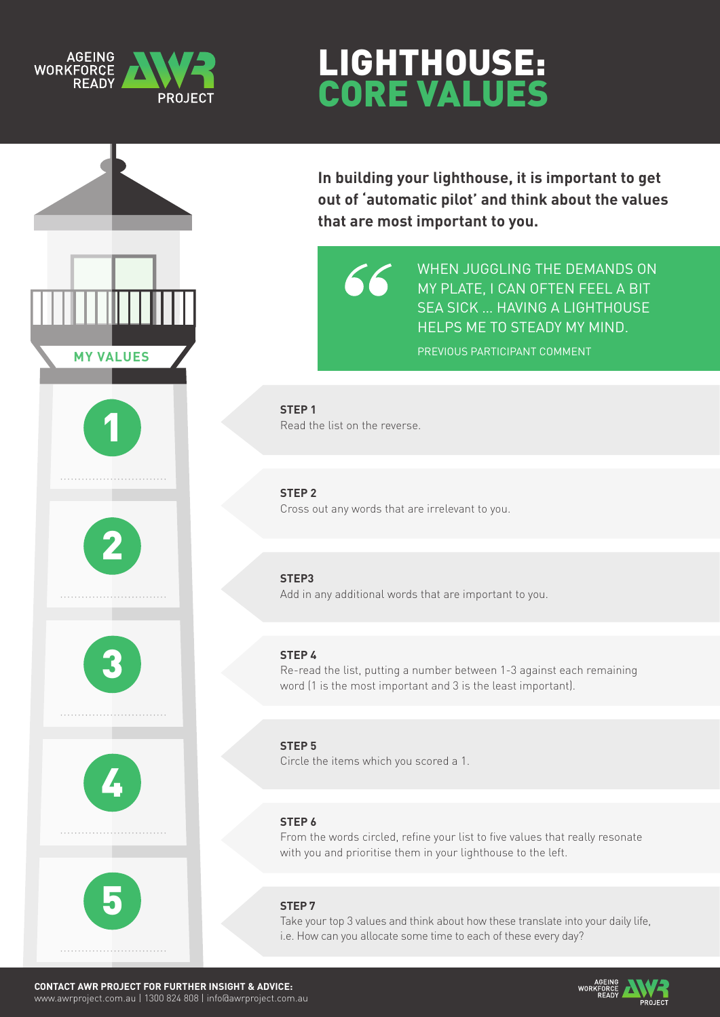### **AGEING WORKFORCE READ)**

# Lighthouse: Core Values



**In building your lighthouse, it is important to get out of 'automatic pilot' and think about the values that are most important to you.**



WHEN JUGGLING THE DEMANDS ON MY PLATE, I CAN OFTEN FEEL A BIT SEA SICK … HAVING A LIGHTHOUSE HELPS ME TO STEADY MY MIND. PREVIOUS PARTICIPANT COMMENT

**STEP 1** Read the list on the reverse.

#### **STEP 2**

Cross out any words that are irrelevant to you.

#### **STEP3**

Add in any additional words that are important to you.

#### **STEP 4**

Re-read the list, putting a number between 1-3 against each remaining word (1 is the most important and 3 is the least important).

**STEP 5** Circle the items which you scored a 1.

#### **STEP 6**

From the words circled, refine your list to five values that really resonate with you and prioritise them in your lighthouse to the left.

#### **STEP 7**

Take your top 3 values and think about how these translate into your daily life, i.e. How can you allocate some time to each of these every day?